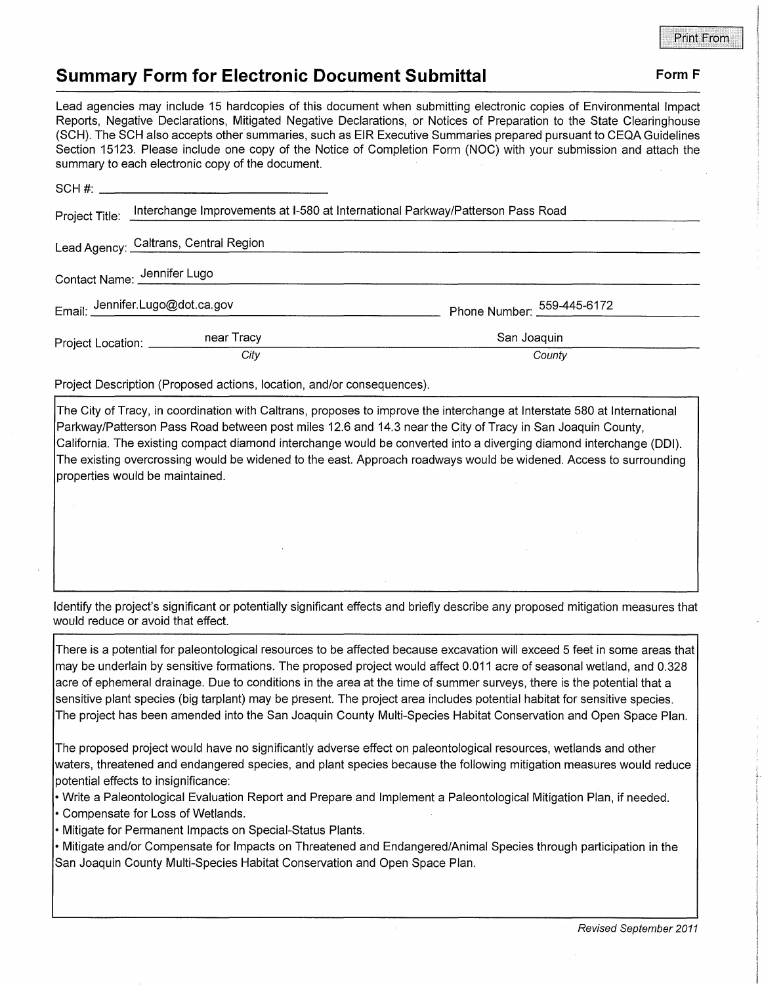## **Summary Form for Electronic Document Submittal Form F Form F**

Lead agencies may include 15 hardcopies of this document when submitting electronic copies of Environmental Impact Reports, Negative Declarations, Mitigated Negative Declarations, or Notices of Preparation to the State Clearinghouse (SCH). The SCH also accepts other summaries, such as EIR Executive Summaries prepared pursuant to CEQA Guidelines Section 15123. Please include one copy of the Notice of Completion Form (NOC) with your submission and attach the

|                            | summary to each electronic copy of the document.                                              |                            |
|----------------------------|-----------------------------------------------------------------------------------------------|----------------------------|
|                            |                                                                                               |                            |
|                            | Project Title: Interchange Improvements at I-580 at International Parkway/Patterson Pass Road |                            |
|                            | Lead Agency: Caltrans, Central Region                                                         |                            |
|                            | Contact Name: Jennifer Lugo                                                                   |                            |
|                            | Email: Jennifer.Lugo@dot.ca.gov                                                               | Phone Number: 559-445-6172 |
| Project Location: ________ | near Tracy                                                                                    | San Joaquin                |
|                            | City                                                                                          | County                     |

Project Description (Proposed actions, location, and/or consequences).

The City of Tracy, in coordination with Caltrans, proposes to improve the interchange at Interstate 580 at International Parkway/Patterson Pass Road between post miles 12.6 and 14.3 near the City of Tracy in San Joaquin County, California. The existing compact diamond interchange would be converted into a diverging diamond interchange (DOI). The existing overcrossing would be widened to the east. Approach roadways would be widened. Access to surrounding properties would be maintained.

Identify the project's significant or potentially significant effects and briefly describe any proposed mitigation measures that would reduce or avoid that effect.

There is a potential for paleontological resources to be affected because excavation will exceed 5 feet in some areas that may be underlain by sensitive formations. The proposed project would affect 0.011 acre of seasonal wetland, and 0.328 acre of ephemeral drainage. Due to conditions in the area at the time of summer surveys, there is the potential that a sensitive plant species (big tarplant) may be present. The project area includes potential habitat for sensitive species. The project has been amended into the San Joaquin County Multi-Species Habitat Conservation and Open Space Plan.

The proposed project would have no significantly adverse effect on paleontological resources, wetlands and other waters, threatened and endangered species, and plant species because the following mitigation measures would reduce potential effects to insignificance:

- Write a Paleontological Evaluation Report and Prepare and Implement a Paleontological Mitigation Plan, if needed.
- Compensate for Loss of Wetlands.
- Mitigate for Permanent Impacts on Special-Status Plants.

• Mitigate and/or Compensate for Impacts on Threatened and Endangered/Animal Species through participation in the San Joaquin County Multi-Species Habitat Conservation and Open Space Plan.